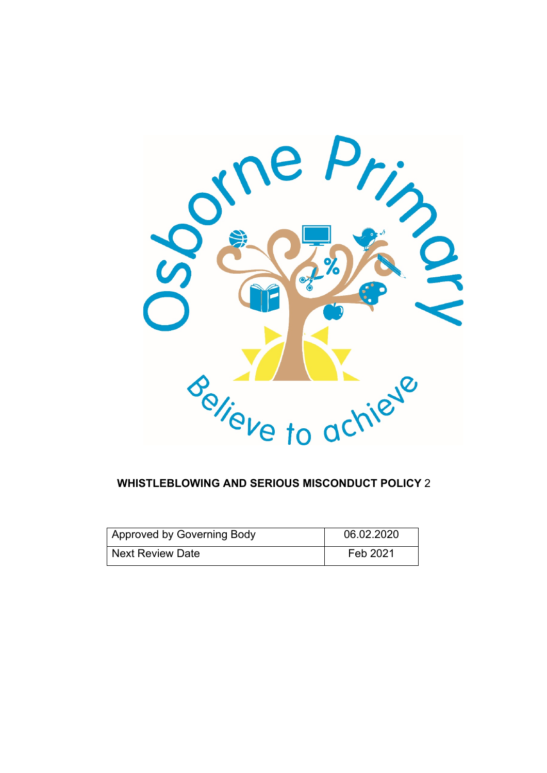

### **WHISTLEBLOWING AND SERIOUS MISCONDUCT POLICY** 2

| Approved by Governing Body | 06.02.2020 |
|----------------------------|------------|
| <b>Next Review Date</b>    | Feb 2021   |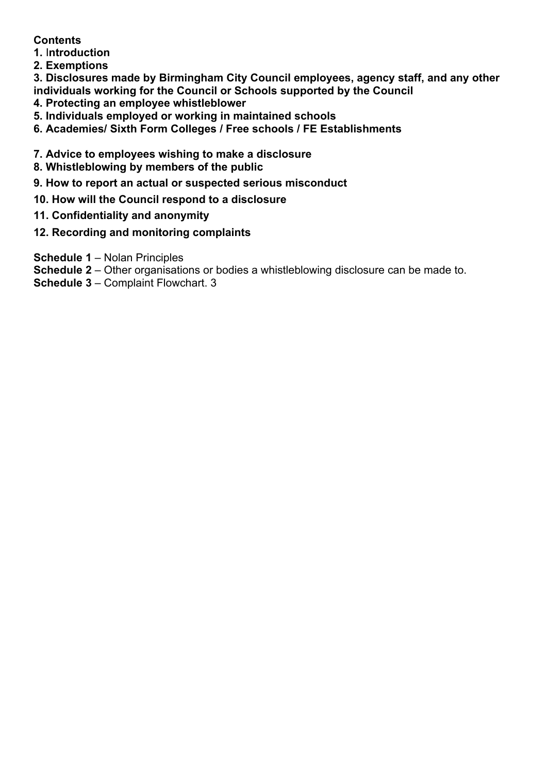### **Contents**

- **1.** I**ntroduction**
- **2. Exemptions**

**3. Disclosures made by Birmingham City Council employees, agency staff, and any other individuals working for the Council or Schools supported by the Council** 

- **4. Protecting an employee whistleblower**
- **5. Individuals employed or working in maintained schools**
- **6. Academies/ Sixth Form Colleges / Free schools / FE Establishments**
- **7. Advice to employees wishing to make a disclosure**
- **8. Whistleblowing by members of the public**
- **9. How to report an actual or suspected serious misconduct**
- **10. How will the Council respond to a disclosure**
- **11. Confidentiality and anonymity**
- **12. Recording and monitoring complaints**
- **Schedule 1**  Nolan Principles
- **Schedule 2**  Other organisations or bodies a whistleblowing disclosure can be made to.
- **Schedule 3**  Complaint Flowchart. 3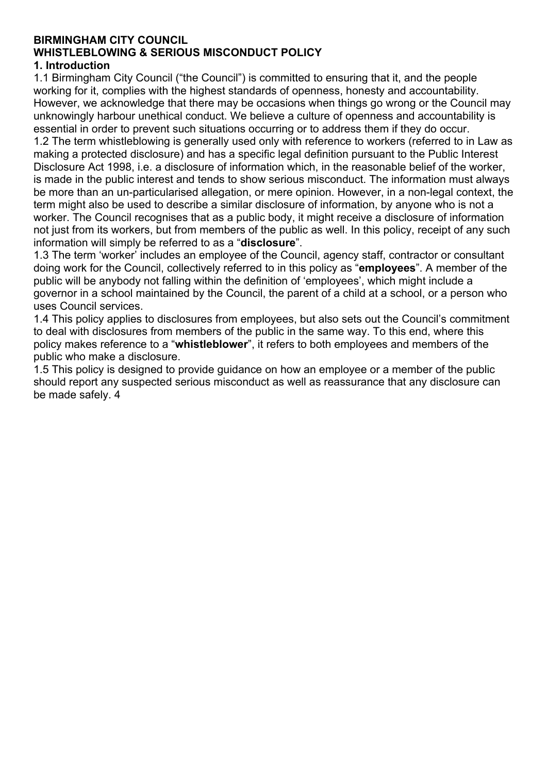# **BIRMINGHAM CITY COUNCIL WHISTLEBLOWING & SERIOUS MISCONDUCT POLICY**

#### **1. Introduction**

1.1 Birmingham City Council ("the Council") is committed to ensuring that it, and the people working for it, complies with the highest standards of openness, honesty and accountability. However, we acknowledge that there may be occasions when things go wrong or the Council may unknowingly harbour unethical conduct. We believe a culture of openness and accountability is essential in order to prevent such situations occurring or to address them if they do occur. 1.2 The term whistleblowing is generally used only with reference to workers (referred to in Law as making a protected disclosure) and has a specific legal definition pursuant to the Public Interest Disclosure Act 1998, i.e. a disclosure of information which, in the reasonable belief of the worker, is made in the public interest and tends to show serious misconduct. The information must always be more than an un-particularised allegation, or mere opinion. However, in a non-legal context, the

term might also be used to describe a similar disclosure of information, by anyone who is not a worker. The Council recognises that as a public body, it might receive a disclosure of information not just from its workers, but from members of the public as well. In this policy, receipt of any such information will simply be referred to as a "**disclosure**".

1.3 The term 'worker' includes an employee of the Council, agency staff, contractor or consultant doing work for the Council, collectively referred to in this policy as "**employees**". A member of the public will be anybody not falling within the definition of 'employees', which might include a governor in a school maintained by the Council, the parent of a child at a school, or a person who uses Council services.

1.4 This policy applies to disclosures from employees, but also sets out the Council's commitment to deal with disclosures from members of the public in the same way. To this end, where this policy makes reference to a "**whistleblower**", it refers to both employees and members of the public who make a disclosure.

1.5 This policy is designed to provide guidance on how an employee or a member of the public should report any suspected serious misconduct as well as reassurance that any disclosure can be made safely. 4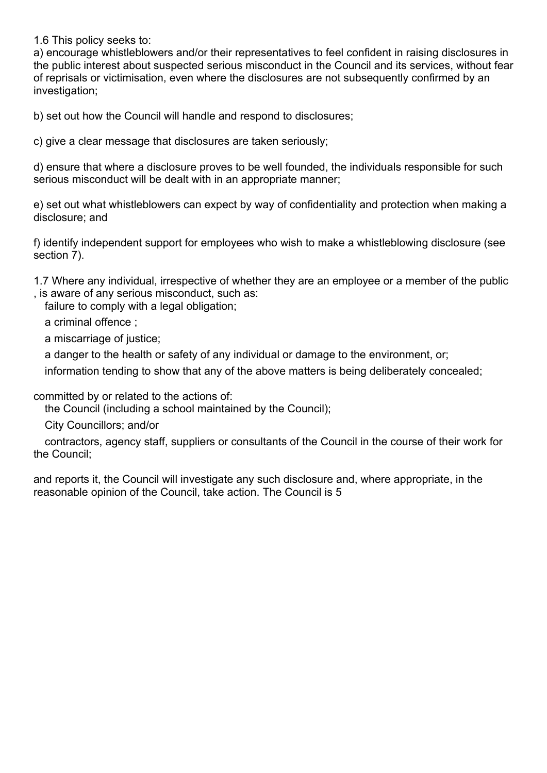1.6 This policy seeks to:

a) encourage whistleblowers and/or their representatives to feel confident in raising disclosures in the public interest about suspected serious misconduct in the Council and its services, without fear of reprisals or victimisation, even where the disclosures are not subsequently confirmed by an investigation;

b) set out how the Council will handle and respond to disclosures;

c) give a clear message that disclosures are taken seriously;

d) ensure that where a disclosure proves to be well founded, the individuals responsible for such serious misconduct will be dealt with in an appropriate manner;

e) set out what whistleblowers can expect by way of confidentiality and protection when making a disclosure; and

f) identify independent support for employees who wish to make a whistleblowing disclosure (see section 7).

1.7 Where any individual, irrespective of whether they are an employee or a member of the public , is aware of any serious misconduct, such as:

failure to comply with a legal obligation;

a criminal offence ;

a miscarriage of justice;

a danger to the health or safety of any individual or damage to the environment, or;

information tending to show that any of the above matters is being deliberately concealed;

committed by or related to the actions of:

the Council (including a school maintained by the Council);

City Councillors; and/or

 contractors, agency staff, suppliers or consultants of the Council in the course of their work for the Council;

and reports it, the Council will investigate any such disclosure and, where appropriate, in the reasonable opinion of the Council, take action. The Council is 5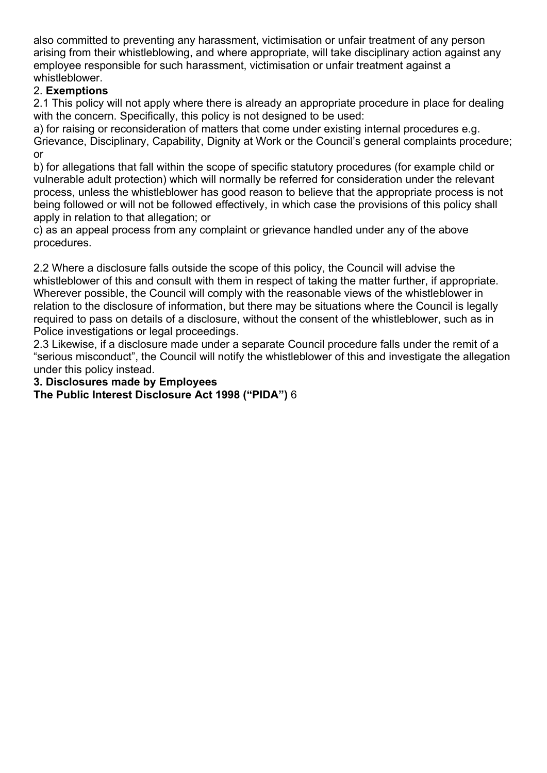also committed to preventing any harassment, victimisation or unfair treatment of any person arising from their whistleblowing, and where appropriate, will take disciplinary action against any employee responsible for such harassment, victimisation or unfair treatment against a whistleblower.

### 2. **Exemptions**

2.1 This policy will not apply where there is already an appropriate procedure in place for dealing with the concern. Specifically, this policy is not designed to be used:

a) for raising or reconsideration of matters that come under existing internal procedures e.g. Grievance, Disciplinary, Capability, Dignity at Work or the Council's general complaints procedure; or

b) for allegations that fall within the scope of specific statutory procedures (for example child or vulnerable adult protection) which will normally be referred for consideration under the relevant process, unless the whistleblower has good reason to believe that the appropriate process is not being followed or will not be followed effectively, in which case the provisions of this policy shall apply in relation to that allegation; or

c) as an appeal process from any complaint or grievance handled under any of the above procedures.

2.2 Where a disclosure falls outside the scope of this policy, the Council will advise the whistleblower of this and consult with them in respect of taking the matter further, if appropriate. Wherever possible, the Council will comply with the reasonable views of the whistleblower in relation to the disclosure of information, but there may be situations where the Council is legally required to pass on details of a disclosure, without the consent of the whistleblower, such as in Police investigations or legal proceedings.

2.3 Likewise, if a disclosure made under a separate Council procedure falls under the remit of a "serious misconduct", the Council will notify the whistleblower of this and investigate the allegation under this policy instead.

**3. Disclosures made by Employees** 

**The Public Interest Disclosure Act 1998 ("PIDA")** 6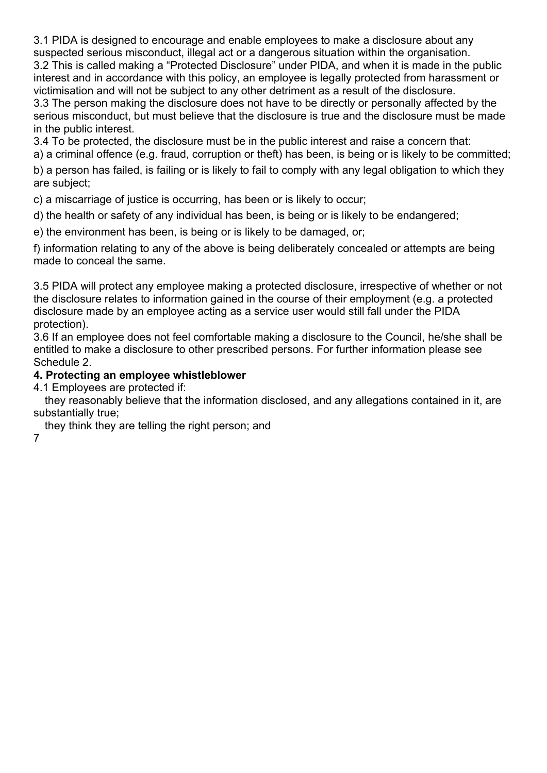3.1 PIDA is designed to encourage and enable employees to make a disclosure about any suspected serious misconduct, illegal act or a dangerous situation within the organisation. 3.2 This is called making a "Protected Disclosure" under PIDA, and when it is made in the public interest and in accordance with this policy, an employee is legally protected from harassment or victimisation and will not be subject to any other detriment as a result of the disclosure.

3.3 The person making the disclosure does not have to be directly or personally affected by the serious misconduct, but must believe that the disclosure is true and the disclosure must be made in the public interest.

3.4 To be protected, the disclosure must be in the public interest and raise a concern that:

a) a criminal offence (e.g. fraud, corruption or theft) has been, is being or is likely to be committed;

b) a person has failed, is failing or is likely to fail to comply with any legal obligation to which they are subject;

c) a miscarriage of justice is occurring, has been or is likely to occur;

d) the health or safety of any individual has been, is being or is likely to be endangered;

e) the environment has been, is being or is likely to be damaged, or;

f) information relating to any of the above is being deliberately concealed or attempts are being made to conceal the same.

3.5 PIDA will protect any employee making a protected disclosure, irrespective of whether or not the disclosure relates to information gained in the course of their employment (e.g. a protected disclosure made by an employee acting as a service user would still fall under the PIDA protection).

3.6 If an employee does not feel comfortable making a disclosure to the Council, he/she shall be entitled to make a disclosure to other prescribed persons. For further information please see Schedule 2.

### **4. Protecting an employee whistleblower**

4.1 Employees are protected if:

 they reasonably believe that the information disclosed, and any allegations contained in it, are substantially true;

they think they are telling the right person; and

7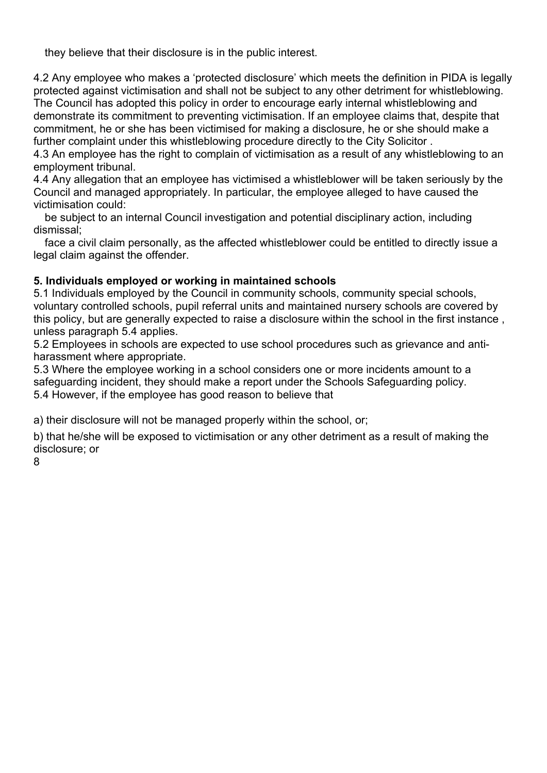they believe that their disclosure is in the public interest.

4.2 Any employee who makes a 'protected disclosure' which meets the definition in PIDA is legally protected against victimisation and shall not be subject to any other detriment for whistleblowing. The Council has adopted this policy in order to encourage early internal whistleblowing and demonstrate its commitment to preventing victimisation. If an employee claims that, despite that commitment, he or she has been victimised for making a disclosure, he or she should make a further complaint under this whistleblowing procedure directly to the City Solicitor .

4.3 An employee has the right to complain of victimisation as a result of any whistleblowing to an employment tribunal.

4.4 Any allegation that an employee has victimised a whistleblower will be taken seriously by the Council and managed appropriately. In particular, the employee alleged to have caused the victimisation could:

 be subject to an internal Council investigation and potential disciplinary action, including dismissal;

 face a civil claim personally, as the affected whistleblower could be entitled to directly issue a legal claim against the offender.

### **5. Individuals employed or working in maintained schools**

5.1 Individuals employed by the Council in community schools, community special schools, voluntary controlled schools, pupil referral units and maintained nursery schools are covered by this policy, but are generally expected to raise a disclosure within the school in the first instance , unless paragraph 5.4 applies.

5.2 Employees in schools are expected to use school procedures such as grievance and antiharassment where appropriate.

5.3 Where the employee working in a school considers one or more incidents amount to a safeguarding incident, they should make a report under the Schools Safeguarding policy. 5.4 However, if the employee has good reason to believe that

a) their disclosure will not be managed properly within the school, or;

b) that he/she will be exposed to victimisation or any other detriment as a result of making the disclosure; or

8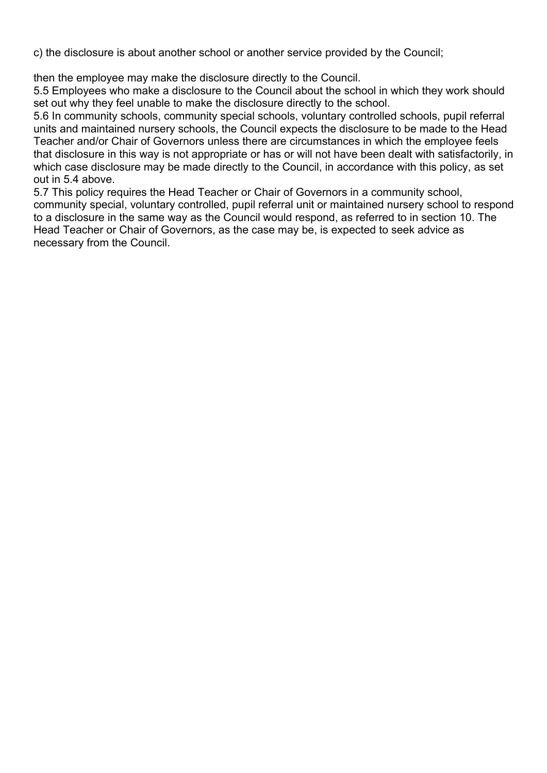c) the disclosure is about another school or another service provided by the Council;

then the employee may make the disclosure directly to the Council.

5.5 Employees who make a disclosure to the Council about the school in which they work should set out why they feel unable to make the disclosure directly to the school.

5.6 In community schools, community special schools, voluntary controlled schools, pupil referral units and maintained nursery schools, the Council expects the disclosure to be made to the Head Teacher and/or Chair of Governors unless there are circumstances in which the employee feels that disclosure in this way is not appropriate or has or will not have been dealt with satisfactorily, in which case disclosure may be made directly to the Council, in accordance with this policy, as set out in 5.4 above.

5.7 This policy requires the Head Teacher or Chair of Governors in a community school, community special, voluntary controlled, pupil referral unit or maintained nursery school to respond to a disclosure in the same way as the Council would respond, as referred to in section 10. The Head Teacher or Chair of Governors, as the case may be, is expected to seek advice as necessary from the Council.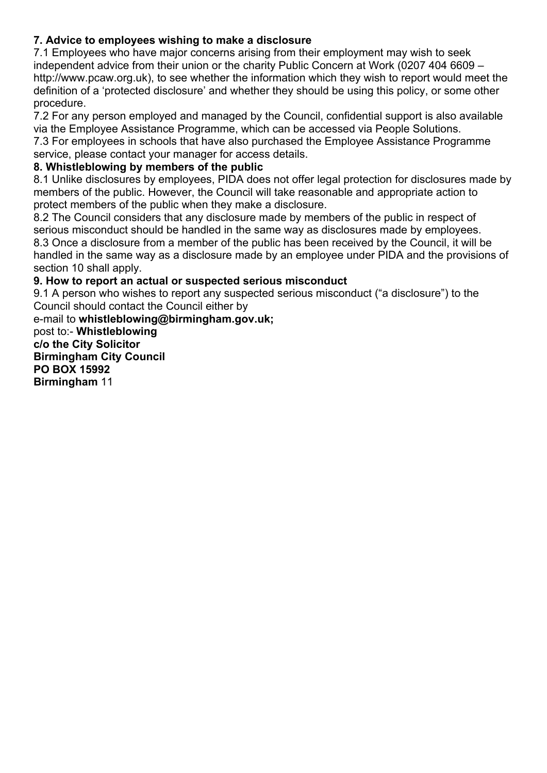# **7. Advice to employees wishing to make a disclosure**

7.1 Employees who have major concerns arising from their employment may wish to seek independent advice from their union or the charity Public Concern at Work (0207 404 6609 – http://www.pcaw.org.uk), to see whether the information which they wish to report would meet the definition of a 'protected disclosure' and whether they should be using this policy, or some other procedure.

7.2 For any person employed and managed by the Council, confidential support is also available via the Employee Assistance Programme, which can be accessed via People Solutions. 7.3 For employees in schools that have also purchased the Employee Assistance Programme service, please contact your manager for access details.

### **8. Whistleblowing by members of the public**

8.1 Unlike disclosures by employees, PIDA does not offer legal protection for disclosures made by members of the public. However, the Council will take reasonable and appropriate action to protect members of the public when they make a disclosure.

8.2 The Council considers that any disclosure made by members of the public in respect of serious misconduct should be handled in the same way as disclosures made by employees. 8.3 Once a disclosure from a member of the public has been received by the Council, it will be handled in the same way as a disclosure made by an employee under PIDA and the provisions of section 10 shall apply.

### **9. How to report an actual or suspected serious misconduct**

9.1 A person who wishes to report any suspected serious misconduct ("a disclosure") to the Council should contact the Council either by

e-mail to **whistleblowing@birmingham.gov.uk;**  post to:- **Whistleblowing c/o the City Solicitor Birmingham City Council PO BOX 15992 Birmingham** 11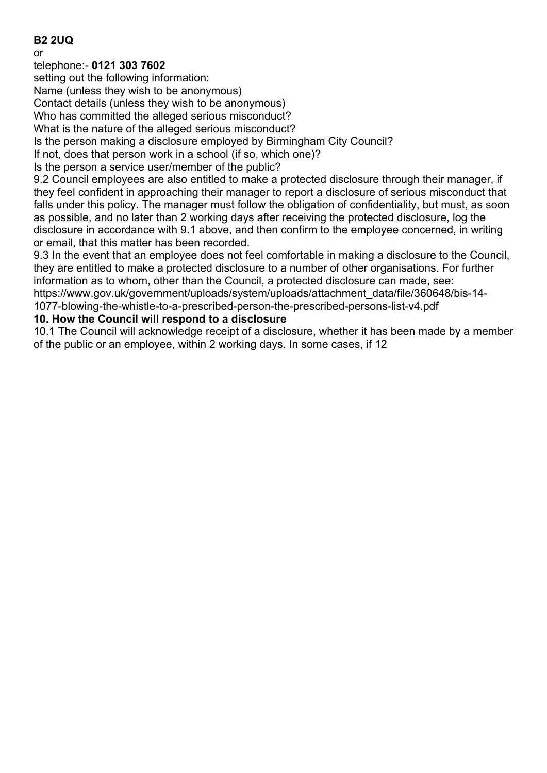### **B2 2UQ**

or

#### telephone:- **0121 303 7602**

setting out the following information:

Name (unless they wish to be anonymous)

Contact details (unless they wish to be anonymous)

Who has committed the alleged serious misconduct?

What is the nature of the alleged serious misconduct?

Is the person making a disclosure employed by Birmingham City Council?

If not, does that person work in a school (if so, which one)?

Is the person a service user/member of the public?

9.2 Council employees are also entitled to make a protected disclosure through their manager, if they feel confident in approaching their manager to report a disclosure of serious misconduct that falls under this policy. The manager must follow the obligation of confidentiality, but must, as soon as possible, and no later than 2 working days after receiving the protected disclosure, log the disclosure in accordance with 9.1 above, and then confirm to the employee concerned, in writing or email, that this matter has been recorded.

9.3 In the event that an employee does not feel comfortable in making a disclosure to the Council, they are entitled to make a protected disclosure to a number of other organisations. For further information as to whom, other than the Council, a protected disclosure can made, see: https://www.gov.uk/government/uploads/system/uploads/attachment\_data/file/360648/bis-14-

1077-blowing-the-whistle-to-a-prescribed-person-the-prescribed-persons-list-v4.pdf

#### **10. How the Council will respond to a disclosure**

10.1 The Council will acknowledge receipt of a disclosure, whether it has been made by a member of the public or an employee, within 2 working days. In some cases, if 12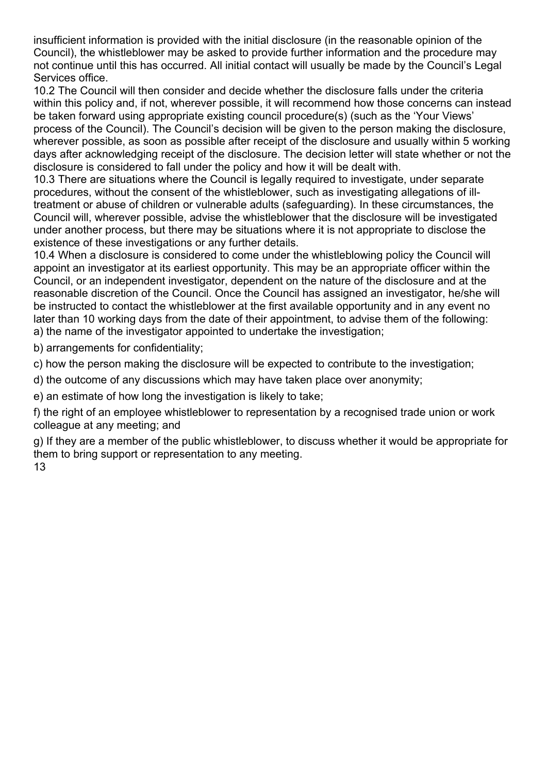insufficient information is provided with the initial disclosure (in the reasonable opinion of the Council), the whistleblower may be asked to provide further information and the procedure may not continue until this has occurred. All initial contact will usually be made by the Council's Legal Services office.

10.2 The Council will then consider and decide whether the disclosure falls under the criteria within this policy and, if not, wherever possible, it will recommend how those concerns can instead be taken forward using appropriate existing council procedure(s) (such as the 'Your Views' process of the Council). The Council's decision will be given to the person making the disclosure, wherever possible, as soon as possible after receipt of the disclosure and usually within 5 working days after acknowledging receipt of the disclosure. The decision letter will state whether or not the disclosure is considered to fall under the policy and how it will be dealt with.

10.3 There are situations where the Council is legally required to investigate, under separate procedures, without the consent of the whistleblower, such as investigating allegations of illtreatment or abuse of children or vulnerable adults (safeguarding). In these circumstances, the Council will, wherever possible, advise the whistleblower that the disclosure will be investigated under another process, but there may be situations where it is not appropriate to disclose the existence of these investigations or any further details.

10.4 When a disclosure is considered to come under the whistleblowing policy the Council will appoint an investigator at its earliest opportunity. This may be an appropriate officer within the Council, or an independent investigator, dependent on the nature of the disclosure and at the reasonable discretion of the Council. Once the Council has assigned an investigator, he/she will be instructed to contact the whistleblower at the first available opportunity and in any event no later than 10 working days from the date of their appointment, to advise them of the following: a) the name of the investigator appointed to undertake the investigation;

b) arrangements for confidentiality;

c) how the person making the disclosure will be expected to contribute to the investigation;

d) the outcome of any discussions which may have taken place over anonymity;

e) an estimate of how long the investigation is likely to take;

f) the right of an employee whistleblower to representation by a recognised trade union or work colleague at any meeting; and

g) If they are a member of the public whistleblower, to discuss whether it would be appropriate for them to bring support or representation to any meeting. 13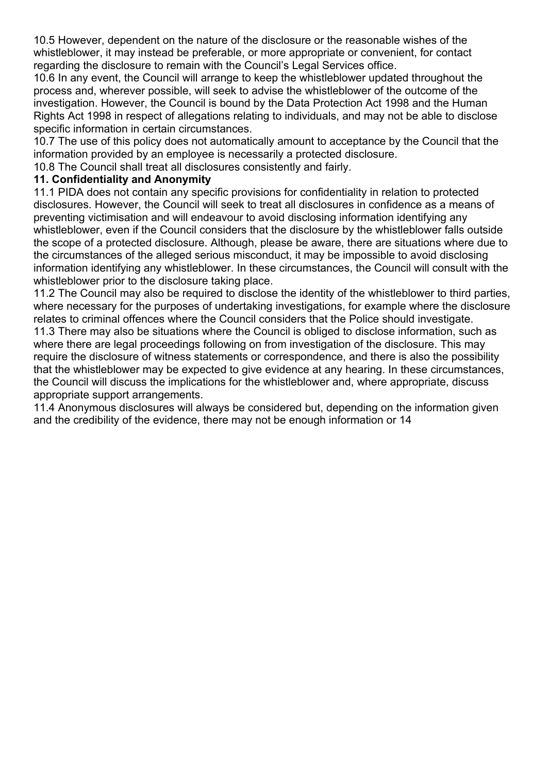10.5 However, dependent on the nature of the disclosure or the reasonable wishes of the whistleblower, it may instead be preferable, or more appropriate or convenient, for contact regarding the disclosure to remain with the Council's Legal Services office.

10.6 In any event, the Council will arrange to keep the whistleblower updated throughout the process and, wherever possible, will seek to advise the whistleblower of the outcome of the investigation. However, the Council is bound by the Data Protection Act 1998 and the Human Rights Act 1998 in respect of allegations relating to individuals, and may not be able to disclose specific information in certain circumstances.

10.7 The use of this policy does not automatically amount to acceptance by the Council that the information provided by an employee is necessarily a protected disclosure.

10.8 The Council shall treat all disclosures consistently and fairly.

#### **11. Confidentiality and Anonymity**

11.1 PIDA does not contain any specific provisions for confidentiality in relation to protected disclosures. However, the Council will seek to treat all disclosures in confidence as a means of preventing victimisation and will endeavour to avoid disclosing information identifying any whistleblower, even if the Council considers that the disclosure by the whistleblower falls outside the scope of a protected disclosure. Although, please be aware, there are situations where due to the circumstances of the alleged serious misconduct, it may be impossible to avoid disclosing information identifying any whistleblower. In these circumstances, the Council will consult with the whistleblower prior to the disclosure taking place.

11.2 The Council may also be required to disclose the identity of the whistleblower to third parties, where necessary for the purposes of undertaking investigations, for example where the disclosure relates to criminal offences where the Council considers that the Police should investigate.

11.3 There may also be situations where the Council is obliged to disclose information, such as where there are legal proceedings following on from investigation of the disclosure. This may require the disclosure of witness statements or correspondence, and there is also the possibility that the whistleblower may be expected to give evidence at any hearing. In these circumstances, the Council will discuss the implications for the whistleblower and, where appropriate, discuss appropriate support arrangements.

11.4 Anonymous disclosures will always be considered but, depending on the information given and the credibility of the evidence, there may not be enough information or 14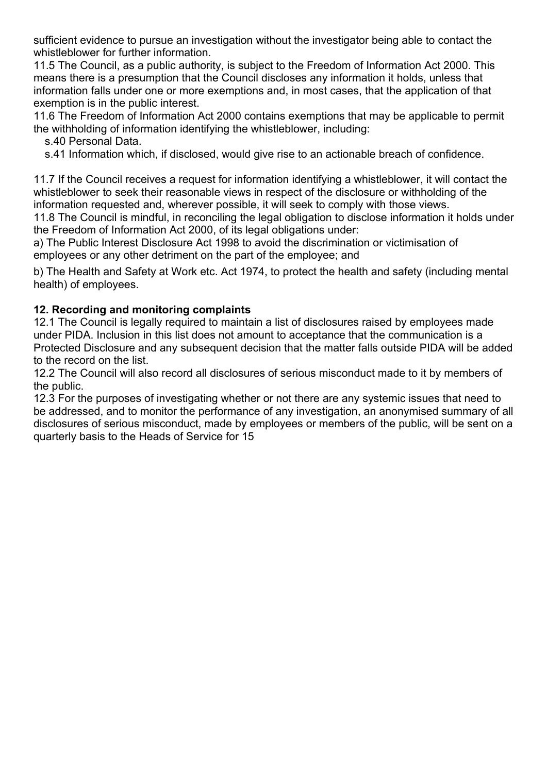sufficient evidence to pursue an investigation without the investigator being able to contact the whistleblower for further information.

11.5 The Council, as a public authority, is subject to the Freedom of Information Act 2000. This means there is a presumption that the Council discloses any information it holds, unless that information falls under one or more exemptions and, in most cases, that the application of that exemption is in the public interest.

11.6 The Freedom of Information Act 2000 contains exemptions that may be applicable to permit the withholding of information identifying the whistleblower, including:

s.40 Personal Data.

s.41 Information which, if disclosed, would give rise to an actionable breach of confidence.

11.7 If the Council receives a request for information identifying a whistleblower, it will contact the whistleblower to seek their reasonable views in respect of the disclosure or withholding of the information requested and, wherever possible, it will seek to comply with those views.

11.8 The Council is mindful, in reconciling the legal obligation to disclose information it holds under the Freedom of Information Act 2000, of its legal obligations under:

a) The Public Interest Disclosure Act 1998 to avoid the discrimination or victimisation of employees or any other detriment on the part of the employee; and

b) The Health and Safety at Work etc. Act 1974, to protect the health and safety (including mental health) of employees.

### **12. Recording and monitoring complaints**

12.1 The Council is legally required to maintain a list of disclosures raised by employees made under PIDA. Inclusion in this list does not amount to acceptance that the communication is a Protected Disclosure and any subsequent decision that the matter falls outside PIDA will be added to the record on the list.

12.2 The Council will also record all disclosures of serious misconduct made to it by members of the public.

12.3 For the purposes of investigating whether or not there are any systemic issues that need to be addressed, and to monitor the performance of any investigation, an anonymised summary of all disclosures of serious misconduct, made by employees or members of the public, will be sent on a quarterly basis to the Heads of Service for 15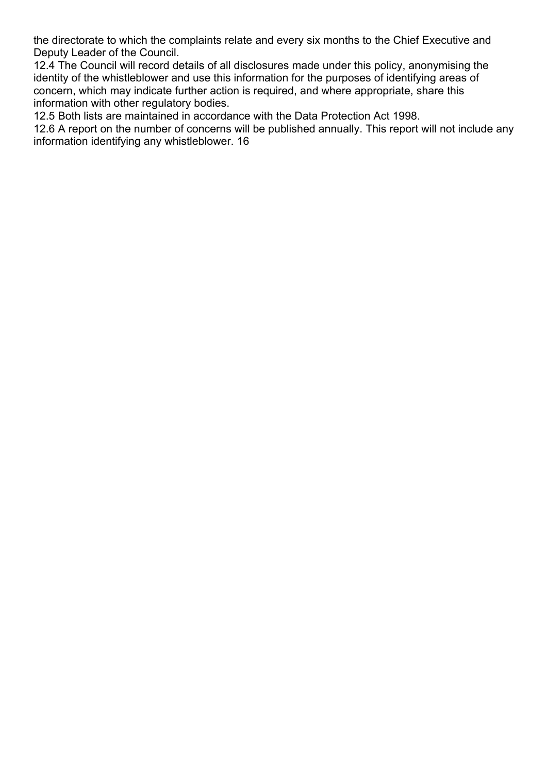the directorate to which the complaints relate and every six months to the Chief Executive and Deputy Leader of the Council.

12.4 The Council will record details of all disclosures made under this policy, anonymising the identity of the whistleblower and use this information for the purposes of identifying areas of concern, which may indicate further action is required, and where appropriate, share this information with other regulatory bodies.

12.5 Both lists are maintained in accordance with the Data Protection Act 1998.

12.6 A report on the number of concerns will be published annually. This report will not include any information identifying any whistleblower. 16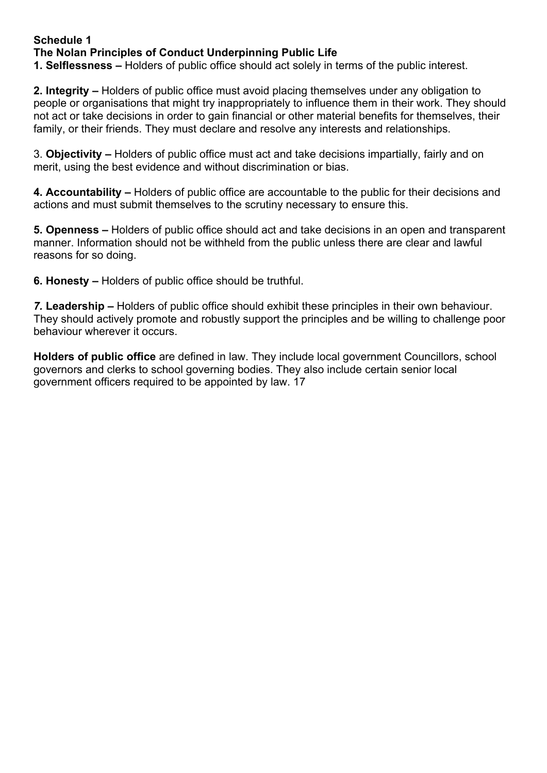# **Schedule 1 The Nolan Principles of Conduct Underpinning Public Life**

**1. Selflessness –** Holders of public office should act solely in terms of the public interest.

**2. Integrity –** Holders of public office must avoid placing themselves under any obligation to people or organisations that might try inappropriately to influence them in their work. They should not act or take decisions in order to gain financial or other material benefits for themselves, their family, or their friends. They must declare and resolve any interests and relationships.

3. **Objectivity –** Holders of public office must act and take decisions impartially, fairly and on merit, using the best evidence and without discrimination or bias.

**4. Accountability –** Holders of public office are accountable to the public for their decisions and actions and must submit themselves to the scrutiny necessary to ensure this.

**5. Openness –** Holders of public office should act and take decisions in an open and transparent manner. Information should not be withheld from the public unless there are clear and lawful reasons for so doing.

**6. Honesty –** Holders of public office should be truthful.

*7.* **Leadership –** Holders of public office should exhibit these principles in their own behaviour. They should actively promote and robustly support the principles and be willing to challenge poor behaviour wherever it occurs.

**Holders of public office** are defined in law. They include local government Councillors, school governors and clerks to school governing bodies. They also include certain senior local government officers required to be appointed by law. 17